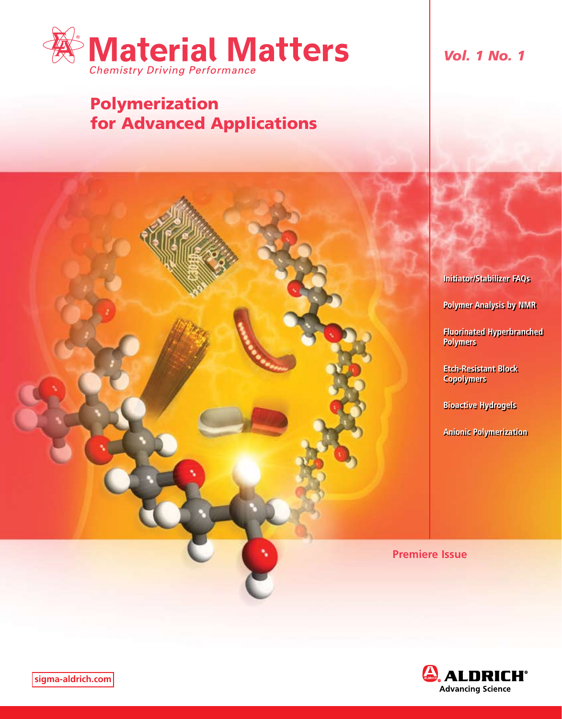

# Polymerization for Advanced Applications

*Vol. 1 No. 1*

**Initiator/Stabilizer FAQs**

**Polymer Analysis by NMR**

**Fluorinated Hyperbranched Polymers**

**Etch-Resistant Block Copolymers**

**Bioactive Hydrogels**

**Anionic Polymerization**

**Premiere Issue**

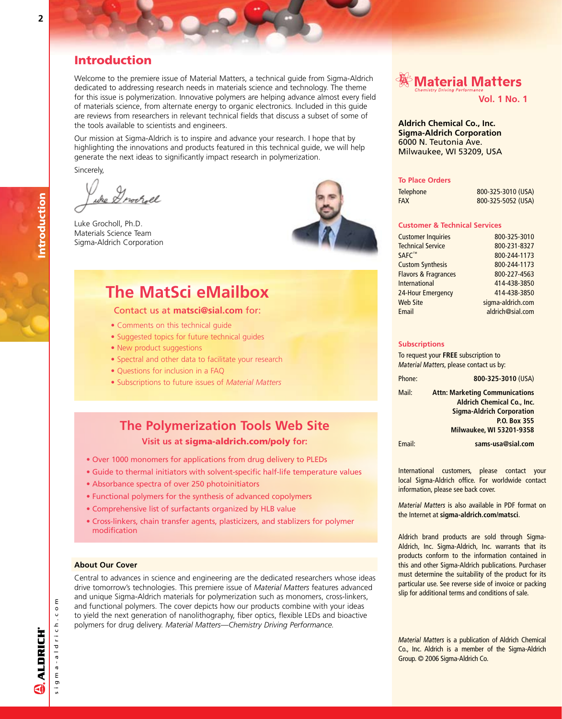## Introduction

Welcome to the premiere issue of Material Matters, a technical guide from Sigma-Aldrich dedicated to addressing research needs in materials science and technology. The theme for this issue is polymerization. Innovative polymers are helping advance almost every field of materials science, from alternate energy to organic electronics. Included in this guide are reviews from researchers in relevant technical fields that discuss a subset of some of the tools available to scientists and engineers.

Our mission at Sigma-Aldrich is to inspire and advance your research. I hope that by highlighting the innovations and products featured in this technical guide, we will help generate the next ideas to significantly impact research in polymerization.

Sincerely,

whe Drocroll

Luke Grocholl, Ph.D. Materials Science Team Sigma-Aldrich Corporation



# **The MatSci eMailbox**

## Contact us at **matsci@sial.com** for:

- Comments on this technical guide
- Suggested topics for future technical guides
- New product suggestions
- Spectral and other data to facilitate your research
- Questions for inclusion in a FAQ
- Subscriptions to future issues of *Material Matters*

## **The Polymerization Tools Web Site Visit us at** sigma-aldrich.com/poly **for:**

- Over 1000 monomers for applications from drug delivery to PLEDs
- Guide to thermal initiators with solvent-specific half-life temperature values
- Absorbance spectra of over 250 photoinitiators
- Functional polymers for the synthesis of advanced copolymers
- Comprehensive list of surfactants organized by HLB value
- Cross-linkers, chain transfer agents, plasticizers, and stablizers for polymer modification

## **About Our Cover**

Central to advances in science and engineering are the dedicated researchers whose ideas drive tomorrow's technologies. This premiere issue of *Material Matters* features advanced and unique Sigma-Aldrich materials for polymerization such as monomers, cross-linkers, and functional polymers. The cover depicts how our products combine with your ideas to yield the next generation of nanolithography, fiber optics, flexible LEDs and bioactive polymers for drug delivery. *Material Matters—Chemistry Driving Performance.*

# ▒ Material Matters

**Vol. 1 No. 1**

## **Aldrich Chemical Co., Inc. Sigma-Aldrich Corporation** 6000 N. Teutonia Ave. Milwaukee, WI 53209, USA

### **To Place Orders**

| <b>Telephone</b> | 800-325-3010 (USA) |
|------------------|--------------------|
| FAX              | 800-325-5052 (USA) |

## **Customer & Technical Services**

| <b>Customer Inquiries</b>       | 800-325-3010      |
|---------------------------------|-------------------|
| <b>Technical Service</b>        | 800-231-8327      |
| <b>SAFC™</b>                    | 800-244-1173      |
| <b>Custom Synthesis</b>         | 800-244-1173      |
| <b>Flavors &amp; Fragrances</b> | 800-227-4563      |
| <b>International</b>            | 414-438-3850      |
| 24-Hour Emergency               | 414-438-3850      |
| <b>Web Site</b>                 | sigma-aldrich.com |
| Email                           | aldrich@sial.com  |

#### **Subscriptions**

To request your **FREE** subscription to *Material Matters*, please contact us by:

Phone: **800-325-3010** (USA) Mail: **Attn: Marketing Communications Aldrich Chemical Co., Inc. Sigma-Aldrich Corporation P.O. Box 355 Milwaukee, WI 53201-9358**

Email: **sams-usa@sial.com**

International customers, please contact your local Sigma-Aldrich office. For worldwide contact information, please see back cover.

*Material Matters* is also available in PDF format on the Internet at **sigma-aldrich.com/matsci**.

Aldrich brand products are sold through Sigma-Aldrich, Inc. Sigma-Aldrich, Inc. warrants that its products conform to the information contained in this and other Sigma-Aldrich publications. Purchaser must determine the suitability of the product for its particular use. See reverse side of invoice or packing slip for additional terms and conditions of sale.

*Material Matters* is a publication of Aldrich Chemical Co., Inc. Aldrich is a member of the Sigma-Aldrich Group. © 2006 Sigma-Aldrich Co.

s i g m a - a l d r i c h . c o m

 $g$  m a - a  $1$  d r  $i$  c h  $\ldots$  c o

ε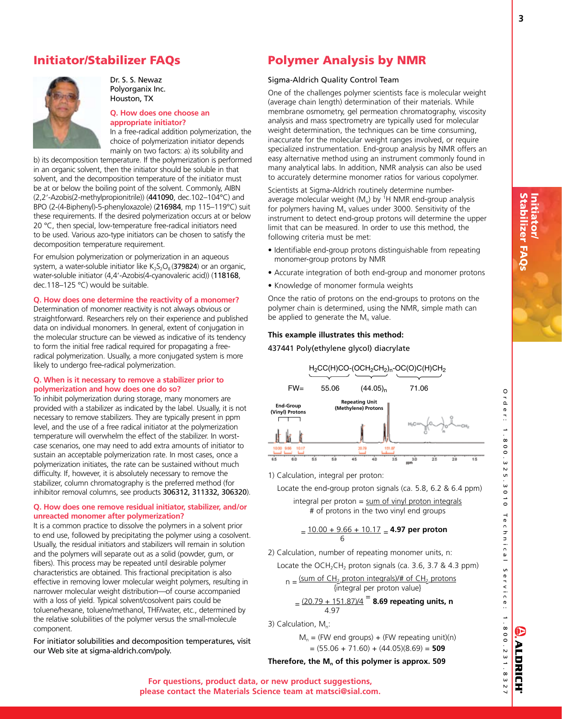## Initiator/Stabilizer FAQs



Dr. S. S. Newaz Polyorganix Inc. Houston, TX

## **Q. How does one choose an appropriate initiator?**

In a free-radical addition polymerization, the choice of polymerization initiator depends mainly on two factors: a) its solubility and

b) its decomposition temperature. If the polymerization is performed in an organic solvent, then the initiator should be soluble in that solvent, and the decomposition temperature of the initiator must be at or below the boiling point of the solvent. Commonly, AIBN (2,2'-Azobis(2-methylpropionitrile)) (441090, dec.102-104°C) and BPO (2-(4-Biphenyl)-5-phenyloxazole) (216984, mp 115–119°C) suit these requirements. If the desired polymerization occurs at or below 20 °C, then special, low-temperature free-radical initiators need to be used. Various azo-type initiators can be chosen to satisfy the decomposition temperature requirement.

For emulsion polymerization or polymerization in an aqueous system, a water-soluble initiator like  $K_2S_2O_8(379824)$  or an organic, water-soluble initiator (4,4'-Azobis(4-cyanovaleric acid)) (118168, dec.118–125 °C) would be suitable.

## **Q. How does one determine the reactivity of a monomer?**

Determination of monomer reactivity is not always obvious or straightforward. Researchers rely on their experience and published data on individual monomers. In general, extent of conjugation in the molecular structure can be viewed as indicative of its tendency to form the initial free radical required for propagating a freeradical polymerization. Usually, a more conjugated system is more likely to undergo free-radical polymerization.

## **Q. When is it necessary to remove a stabilizer prior to polymerization and how does one do so?**

To inhibit polymerization during storage, many monomers are provided with a stabilizer as indicated by the label. Usually, it is not necessary to remove stabilizers. They are typically present in ppm level, and the use of a free radical initiator at the polymerization temperature will overwhelm the effect of the stabilizer. In worstcase scenarios, one may need to add extra amounts of initiator to sustain an acceptable polymerization rate. In most cases, once a polymerization initiates, the rate can be sustained without much difficulty. If, however, it is absolutely necessary to remove the stabilizer, column chromatography is the preferred method (for inhibitor removal columns, see products 306312, 311332, 306320).

## **Q. How does one remove residual initiator, stabilizer, and/or unreacted monomer after polymerization?**

It is a common practice to dissolve the polymers in a solvent prior to end use, followed by precipitating the polymer using a cosolvent. Usually, the residual initiators and stabilizers will remain in solution and the polymers will separate out as a solid (powder, gum, or fibers). This process may be repeated until desirable polymer characteristics are obtained. This fractional precipitation is also effective in removing lower molecular weight polymers, resulting in narrower molecular weight distribution—of course accompanied with a loss of yield. Typical solvent/cosolvent pairs could be toluene/hexane, toluene/methanol, THF/water, etc., determined by the relative solubilities of the polymer versus the small-molecule component.

For initiator solubilities and decomposition temperatures, visit our Web site at sigma-aldrich.com/poly.

## Polymer Analysis by NMR

## Sigma-Aldrich Quality Control Team

One of the challenges polymer scientists face is molecular weight (average chain length) determination of their materials. While membrane osmometry, gel permeation chromatography, viscosity analysis and mass spectrometry are typically used for molecular weight determination, the techniques can be time consuming, inaccurate for the molecular weight ranges involved, or require specialized instrumentation. End-group analysis by NMR offers an easy alternative method using an instrument commonly found in many analytical labs. In addition, NMR analysis can also be used to accurately determine monomer ratios for various copolymer.

Scientists at Sigma-Aldrich routinely determine numberaverage molecular weight  $(M_n)$  by <sup>1</sup>H NMR end-group analysis for polymers having  $M<sub>n</sub>$  values under 3000. Sensitivity of the instrument to detect end-group protons will determine the upper limit that can be measured. In order to use this method, the following criteria must be met:

- Identifiable end-group protons distinguishable from repeating monomer-group protons by NMR
- Accurate integration of both end-group and monomer protons
- Knowledge of monomer formula weights

Once the ratio of protons on the end-groups to protons on the polymer chain is determined, using the NMR, simple math can be applied to generate the  $M_n$  value.

## **This example illustrates this method:**

### 437441 Poly(ethylene glycol) diacrylate



1) Calculation, integral per proton:

Locate the end-group proton signals (ca. 5.8, 6.2 & 6.4 ppm)

integral per proton = sum of vinyl proton integrals # of protons in the two vinyl end groups

$$
=\frac{10.00+9.66+10.17}{6} = 4.97 \text{ per proton}
$$

2) Calculation, number of repeating monomer units, n:

Locate the OCH<sub>2</sub>CH<sub>2</sub> proton signals (ca. 3.6, 3.7 & 4.3 ppm)

$$
n = \frac{\text{(sum of CH}_2 \text{ proton integrals)}\text{/# of CH}_2 \text{ protons}}{\text{integral per proton value}}
$$

 $\frac{(20.79 + 151.87)/4}{4}$  **8.69 repeating units, n** 4.97

3) Calculation, M<sub>n</sub>:

$$
M_n = (FW end groups) + (FW repeating unit)(n)
$$

$$
= (55.06 + 71.60) + (44.05)(8.69) = 509
$$

## Therefore, the M<sub>n</sub> of this polymer is approx. 509

E

ALDRICH

O٦<br>م er :

**For questions, product data, or new product suggestions, please contact the Materials Science team at matsci@sial.com.**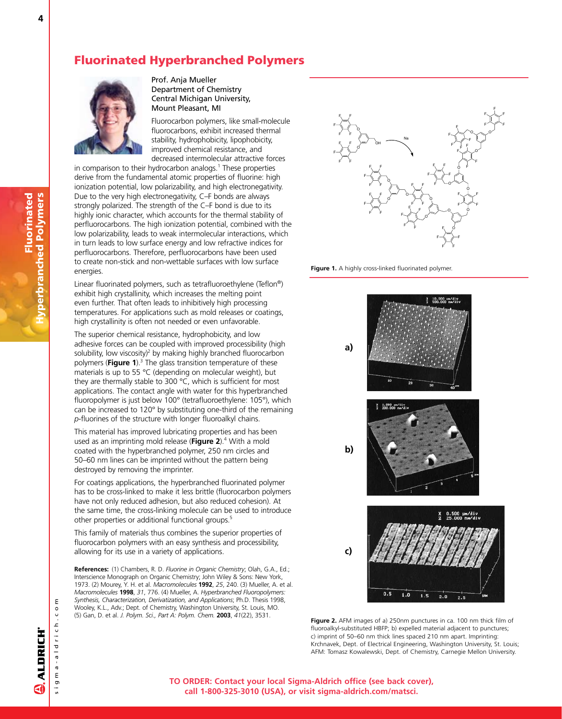## Fluorinated Hyperbranched Polymers



Prof. Anja Mueller Department of Chemistry Central Michigan University, Mount Pleasant, MI

Fluorocarbon polymers, like small-molecule fluorocarbons, exhibit increased thermal stability, hydrophobicity, lipophobicity, improved chemical resistance, and decreased intermolecular attractive forces

in comparison to their hydrocarbon analogs.<sup>1</sup> These properties derive from the fundamental atomic properties of fluorine: high ionization potential, low polarizability, and high electronegativity. Due to the very high electronegativity, C–F bonds are always strongly polarized. The strength of the C–F bond is due to its highly ionic character, which accounts for the thermal stability of perfluorocarbons. The high ionization potential, combined with the low polarizability, leads to weak intermolecular interactions, which in turn leads to low surface energy and low refractive indices for perfluorocarbons. Therefore, perfluorocarbons have been used to create non-stick and non-wettable surfaces with low surface energies.

Linear fluorinated polymers, such as tetrafluoroethylene (Teflon®) exhibit high crystallinity, which increases the melting point even further. That often leads to inhibitively high processing temperatures. For applications such as mold releases or coatings, high crystallinity is often not needed or even unfavorable.

The superior chemical resistance, hydrophobicity, and low adhesive forces can be coupled with improved processibility (high solubility, low viscosity)<sup>2</sup> by making highly branched fluorocarbon polymers (**Figure 1**).<sup>3</sup> The glass transition temperature of these materials is up to 55 °C (depending on molecular weight), but they are thermally stable to 300 °C, which is sufficient for most applications. The contact angle with water for this hyperbranched fluoropolymer is just below 100° (tetrafluoroethylene: 105°), which can be increased to 120° by substituting one-third of the remaining *p*-fluorines of the structure with longer fluoroalkyl chains.

This material has improved lubricating properties and has been used as an imprinting mold release (Figure 2).<sup>4</sup> With a mold coated with the hyperbranched polymer, 250 nm circles and 50–60 nm lines can be imprinted without the pattern being destroyed by removing the imprinter.

For coatings applications, the hyperbranched fluorinated polymer has to be cross-linked to make it less brittle (fluorocarbon polymers have not only reduced adhesion, but also reduced cohesion). At the same time, the cross-linking molecule can be used to introduce other properties or additional functional groups.<sup>5</sup>

This family of materials thus combines the superior properties of fluorocarbon polymers with an easy synthesis and processibility, allowing for its use in a variety of applications.

**References:** (1) Chambers, R. D. *Fluorine in Organic Chemistry*; Olah, G.A., Ed.; Interscience Monograph on Organic Chemistry; John Wiley & Sons: New York, 1973. (2) Mourey, Y. H. et al. *Macromolecules* **1992**, *25*, 240. (3) Mueller, A. et al. *Macromolecules* **1998**, *31*, 776. (4) Mueller, A. *Hyperbranched Fluoropolymers: Synthesis, Characterization, Derivatization, and Applications*; Ph.D. Thesis 1998, Wooley, K.L., Adv.; Dept. of Chemistry, Washington University, St. Louis, MO. (5) Gan, D. et al. *J. Polym. Sci., Part A: Polym. Chem.* **2003**, *41*(22), 3531.



**Figure 1.** A highly cross-linked fluorinated polymer.





4

s i g m a - a l d r i c h . c o m

sigma-aldrich.co

ε

**TO ORDER: Contact your local Sigma-Aldrich office (see back cover), call 1-800-325-3010 (USA), or visit sigma-aldrich.com/matsci.**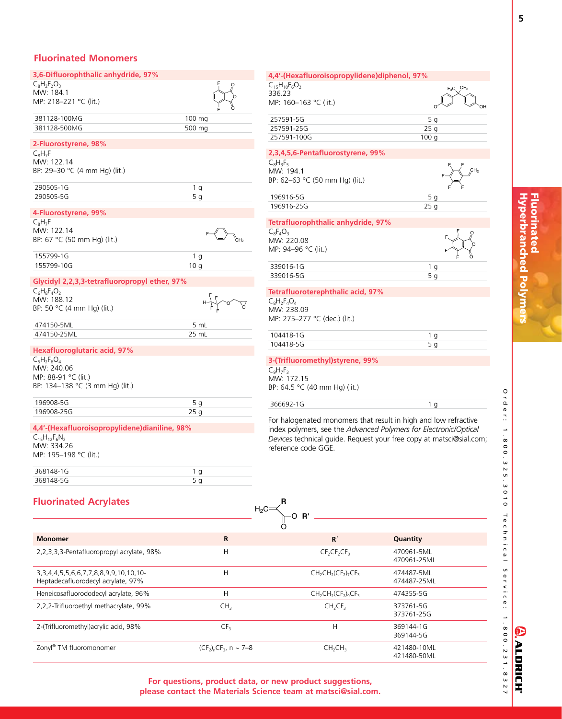## **Fluorinated Monomers**

| 3,6-Difluorophthalic anhydride, 97%                   |                | 4,4'-(Hexafluoroisopropylidene)diphenol, 97%       |                 |
|-------------------------------------------------------|----------------|----------------------------------------------------|-----------------|
| $C_8H_2F_2O_3$                                        |                | $C_{15}H_{10}F_{6}O_{2}$                           |                 |
| MW: 184.1                                             |                | 336.23                                             |                 |
| MP: 218-221 °C (lit.)                                 |                | MP: 160-163 °C (lit.)                              |                 |
| 381128-100MG                                          | 100 mg         | 257591-5G                                          |                 |
| 381128-500MG                                          | 500 mg         | 257591-25G                                         | $\overline{2}$  |
|                                                       |                | 257591-100G                                        | 10 <sub>0</sub> |
| 2-Fluorostyrene, 98%                                  |                |                                                    |                 |
| $C_8H_7F$                                             |                | 2,3,4,5,6-Pentafluorostyrene, 99%                  |                 |
| MW: 122.14                                            |                | $C_8H_3F_5$                                        |                 |
| BP: 29-30 °C (4 mm Hg) (lit.)                         |                | MW: 194.1                                          |                 |
|                                                       |                | BP: 62-63 °C (50 mm Hg) (lit.)                     |                 |
| 290505-1G                                             | 1 <sub>q</sub> |                                                    |                 |
| 290505-5G                                             | 5 <sub>q</sub> | 196916-5G                                          |                 |
| 4-Fluorostyrene, 99%                                  |                | 196916-25G                                         | 2               |
|                                                       |                |                                                    |                 |
| $C_8H_7F$<br>MW: 122.14                               |                | Tetrafluorophthalic anhydride, 97%                 |                 |
|                                                       |                | $C_8F_4O_3$                                        |                 |
| BP: 67 °C (50 mm Hg) (lit.)                           |                | MW: 220.08                                         |                 |
| 155799-1G                                             | 1 <sub>g</sub> | MP: 94-96 °C (lit.)                                |                 |
| 155799-10G                                            | 10q            |                                                    |                 |
|                                                       |                | 339016-1G                                          |                 |
| Glycidyl 2,2,3,3-tetrafluoropropyl ether, 97%         |                | 339016-5G                                          |                 |
| $C_6H_8F_4O_2$                                        |                | Tetrafluoroterephthalic acid, 97%                  |                 |
| MW: 188.12                                            |                | $C_8H_2F_4O_4$                                     |                 |
| BP: 50 °C (4 mm Hg) (lit.)                            |                | MW: 238.09                                         |                 |
|                                                       |                | MP: 275-277 °C (dec.) (lit.)                       |                 |
| 474150-5ML                                            | 5 mL           |                                                    |                 |
| 474150-25ML                                           | 25 mL          | 104418-1G                                          |                 |
|                                                       |                | 104418-5G                                          |                 |
| <b>Hexafluoroglutaric acid, 97%</b>                   |                |                                                    |                 |
| $C_5H_2F_6O_4$                                        |                | 3-(Trifluoromethyl)styrene, 99%                    |                 |
| MW: 240.06                                            |                | $C_9H_7F_3$                                        |                 |
| MP: 88-91 °C (lit.)                                   |                | MW: 172.15                                         |                 |
| BP: 134-138 °C (3 mm Hg) (lit.)                       |                | BP: 64.5 °C (40 mm Hg) (lit.)                      |                 |
|                                                       |                |                                                    |                 |
| 196908-5G                                             | 5 <sub>q</sub> | 366692-1G                                          |                 |
| 196908-25G                                            | 25q            |                                                    |                 |
|                                                       |                | For halogenated monomers that result in high and   |                 |
| 4,4'-(Hexafluoroisopropylidene)dianiline, 98%         |                | index polymers, see the Advanced Polymers for El   |                 |
| $C_{15}H_{12}F_{6}N_{2}$                              |                | Devices technical guide. Request your free copy at |                 |
| MW: 334.26                                            |                | reference code GGE.                                |                 |
| MP: 195-198 °C (lit.)                                 |                |                                                    |                 |
| 368148-1G                                             |                |                                                    |                 |
|                                                       | 1 g            |                                                    |                 |
| 368148-5G                                             | 5 <sub>g</sub> |                                                    |                 |
|                                                       |                |                                                    |                 |
| <b>Fluorinated Acrylates</b>                          |                |                                                    |                 |
|                                                       |                | $\mathsf{H}_2\mathsf{C}$                           |                 |
|                                                       |                |                                                    |                 |
| <b>Monomer</b>                                        | R              | $\mathbf{R}^{\prime}$                              | Quantity        |
|                                                       |                |                                                    |                 |
| 2,2,3,3,3-Pentafluoropropyl acrylate, 98%             | н              | $CF_2CF_2CF_3$                                     | 470961-5M       |
|                                                       |                |                                                    | 470961-25M      |
| 3, 3, 4, 4, 5, 5, 6, 6, 7, 7, 8, 8, 9, 9, 10, 10, 10- | Н              | $CH2CH2(CF2)7CF3$                                  | 474487-5M       |
| Heptadecafluorodecyl acrylate, 97%                    |                |                                                    | 474487-25M      |
|                                                       |                |                                                    |                 |

## $\circ \sim$   $\sim$   $\circ$  $257591 - 5G$  5 g 257591-25G 25 g 98.00 257591-100G 336.500 and 336.500 and 336.500 and 336.500 and 336.500 and 336.500 and 336.500 and 336.500 and 33 **2,3,4,5,6-Pentafluorostyrene, 99%** F F F F MW: 194.1  $F^{\text{CH}_2}$ n Hg) (lit.) [196916-5G](http://www.sigma-aldrich.com/ProductLookup.html?ProdNo=196916&Brand=ALDRICH) 5 g 5 g 42.2020 5 g 42.2020 5 g 42.2020 5 g 42.2020 5 g 42.2020 5 g 42.2020 5 g 42.2020 5 g 42.2020 196916-25G 25 g **Tetrafluorophthalic anhydride, 97%** O F F F F O O [339016-1G](http://www.sigma-aldrich.com/ProductLookup.html?ProdNo=339016&Brand=ALDRICH) 1 g 37.700 and 37.700 and 37.700 and 37.700 and 37.700 and 37.700 and 3 339016-5G 5 g 126.500 5 g 126.500 5 g 126.500 5 g 126.500 5 g 126.500 5 g 126.500 5 g 126.500 5 g 126.500 5 g **Alic acid, 97%**  $:$   $\langle$  (lit.) [104418-1G](http://www.sigma-aldrich.com/ProductLookup.html?ProdNo=104418&Brand=ALDRICH) 1 g 62.70 m 104418-5G 5 g **3-(Trifluoromethyl)styrene, 99%** Hg) (lit.) [366692-1G](http://www.sigma-aldrich.com/ProductLookup.html?ProdNo=366692&Brand=ALDRICH) 1 g 79.000 1 g 79.000 1 g 79.000 1 g 79.000 1 g 79.000 1 g 79.000 1 g 7 nomers that result in high and low refractive the *Advanced Polymers for Electronic/Optical* de. Request your free copy at matsci@sial.com;

|                                                                                             |                                        | -0-R'                           |                            |  |
|---------------------------------------------------------------------------------------------|----------------------------------------|---------------------------------|----------------------------|--|
|                                                                                             |                                        |                                 |                            |  |
| <b>Monomer</b>                                                                              | R                                      | R'                              | Quantity                   |  |
| 2,2,3,3,3-Pentafluoropropyl acrylate, 98%                                                   | Н                                      | $CF_2CF_2CF_3$                  | 470961-5ML<br>470961-25ML  |  |
| 3, 3, 4, 4, 5, 5, 6, 6, 7, 7, 8, 8, 9, 9, 10, 10, 10-<br>Heptadecafluorodecyl acrylate, 97% | Н                                      | $CH2CH2(CF2)7CF3$               | 474487-5ML<br>474487-25ML  |  |
| Heneicosafluorododecyl acrylate, 96%                                                        | Н                                      | $CH2CH2(CF2)9CF3$               | 474355-5G                  |  |
| 2,2,2-Trifluoroethyl methacrylate, 99%                                                      | CH <sub>3</sub>                        | CH <sub>2</sub> CF <sub>3</sub> | 373761-5G<br>373761-25G    |  |
| 2-(Trifluoromethyl) acrylic acid, 98%                                                       | CF <sub>3</sub>                        | Н                               | 369144-1G<br>369144-5G     |  |
| Zonyl® TM fluoromonomer                                                                     | $(CF_2)$ <sub>n</sub> $CF_3$ , n ~ 7–8 | CH <sub>2</sub> CH <sub>3</sub> | 421480-10ML<br>421480-50ML |  |

O r d e r : 1 . 8 0 0 . 3 2 5 . 3 0 1 0

T e c h n i c a l S e r v i c e :

E

ALDRICH®

 $F_3C$ 

**For questions, product data, or new product suggestions, please contact the Materials Science team at matsci@sial.com.**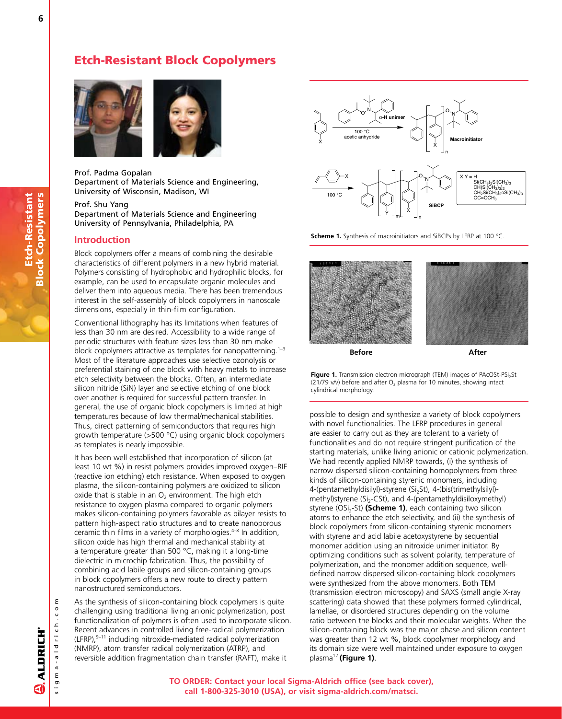## Etch-Resistant Block Copolymers



### Prof. Padma Gopalan

Department of Materials Science and Engineering, University of Wisconsin, Madison, WI

Prof. Shu Yang

Department of Materials Science and Engineering University of Pennsylvania, Philadelphia, PA

## **Introduction**

Block copolymers offer a means of combining the desirable characteristics of different polymers in a new hybrid material. Polymers consisting of hydrophobic and hydrophilic blocks, for example, can be used to encapsulate organic molecules and deliver them into aqueous media. There has been tremendous interest in the self-assembly of block copolymers in nanoscale dimensions, especially in thin-film configuration.

Conventional lithography has its limitations when features of less than 30 nm are desired. Accessibility to a wide range of periodic structures with feature sizes less than 30 nm make block copolymers attractive as templates for nanopatterning.<sup>1-3</sup> Most of the literature approaches use selective ozonolysis or preferential staining of one block with heavy metals to increase etch selectivity between the blocks. Often, an intermediate silicon nitride (SiN) layer and selective etching of one block over another is required for successful pattern transfer. In general, the use of organic block copolymers is limited at high temperatures because of low thermal/mechanical stabilities. Thus, direct patterning of semiconductors that requires high growth temperature (>500 °C) using organic block copolymers as templates is nearly impossible.

It has been well established that incorporation of silicon (at least 10 wt %) in resist polymers provides improved oxygen–RIE (reactive ion etching) etch resistance. When exposed to oxygen plasma, the silicon-containing polymers are oxidized to silicon oxide that is stable in an  $O<sub>2</sub>$  environment. The high etch resistance to oxygen plasma compared to organic polymers makes silicon-containing polymers favorable as bilayer resists to pattern high-aspect ratio structures and to create nanoporous ceramic thin films in a variety of morphologies. $4-8$  In addition, silicon oxide has high thermal and mechanical stability at a temperature greater than 500 °C, making it a long-time dielectric in microchip fabrication. Thus, the possibility of combining acid labile groups and silicon-containing groups in block copolymers offers a new route to directly pattern nanostructured semiconductors.

As the synthesis of silicon-containing block copolymers is quite challenging using traditional living anionic polymerization, post functionalization of polymers is often used to incorporate silicon. Recent advances in controlled living free-radical polymerization  $(LFRP)$ ,  $9-11$  including nitroxide-mediated radical polymerization (NMRP), atom transfer radical polymerization (ATRP), and reversible addition fragmentation chain transfer (RAFT), make it



**Scheme 1.** Synthesis of macroinitiators and SiBCPs by LFRP at 100 °C.



**Figure 1.** Transmission electron micrograph (TEM) images of PAcOSt-PSi<sub>2</sub>St (21/79 v/v) before and after  $O<sub>2</sub>$  plasma for 10 minutes, showing intact cylindrical morphology.

possible to design and synthesize a variety of block copolymers with novel functionalities. The LFRP procedures in general are easier to carry out as they are tolerant to a variety of functionalities and do not require stringent purification of the starting materials, unlike living anionic or cationic polymerization. We had recently applied NMRP towards, (i) the synthesis of narrow dispersed silicon-containing homopolymers from three kinds of silicon-containing styrenic monomers, including 4-(pentamethyldisilyl)-styrene (Si<sub>2</sub>St), 4-(bis(trimethylsilyl)methyl)styrene (Si<sub>2</sub>-CSt), and 4-(pentamethyldisiloxymethyl) styrene (OSi<sub>2</sub>-St) **(Scheme 1)**, each containing two silicon atoms to enhance the etch selectivity, and (ii) the synthesis of block copolymers from silicon-containing styrenic monomers with styrene and acid labile acetoxystyrene by sequential monomer addition using an nitroxide unimer initiator. By optimizing conditions such as solvent polarity, temperature of polymerization, and the monomer addition sequence, welldefined narrow dispersed silicon-containing block copolymers were synthesized from the above monomers. Both TEM (transmission electron microscopy) and SAXS (small angle X-ray scattering) data showed that these polymers formed cylindrical, lamellae, or disordered structures depending on the volume ratio between the blocks and their molecular weights. When the silicon-containing block was the major phase and silicon content was greater than 12 wt %, block copolymer morphology and its domain size were well maintained under exposure to oxygen plasma12 **(Figure 1)**.

s i g m a - a l d r i c h . c o m

sigma-aldrich.co

ε

**TO ORDER: Contact your local Sigma-Aldrich office (see back cover), call 1-800-325-3010 (USA), or visit sigma-aldrich.com/matsci.**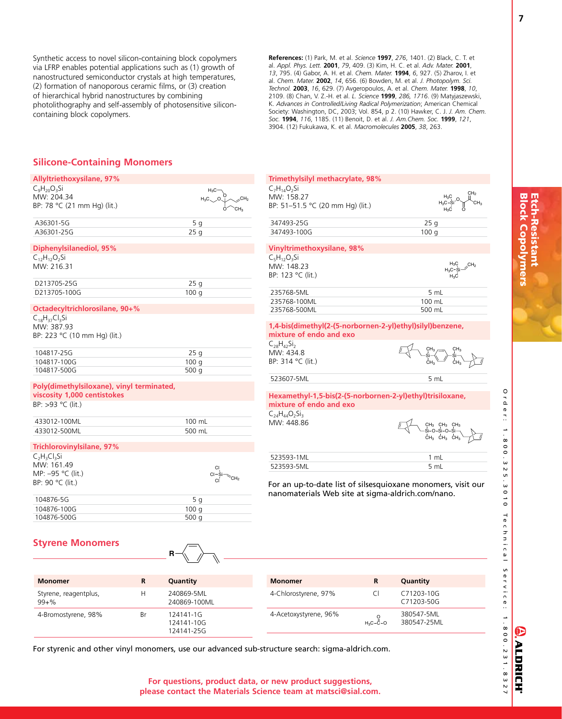Synthetic access to novel silicon-containing block copolymers via LFRP enables potential applications such as (1) growth of nanostructured semiconductor crystals at high temperatures, (2) formation of nanoporous ceramic films, or (3) creation of hierarchical hybrid nanostructures by combining photolithography and self-assembly of photosensitive siliconcontaining block copolymers.

**References:** (1) Park, M. et al. *Science* **1997**, *276*, 1401. (2) Black, C. T. et al. *Appl. Phys. Lett.* **2001**, *79*, 409. (3) Kim, H. C. et al. *Adv. Mater.* **2001**, *13*, 795. (4) Gabor, A. H. et al. *Chem. Mater.* **1994**, *6*, 927. (5) Zharov, I. et al. *Chem. Mater.* **2002**, *14*, 656. (6) Bowden, M. et al. *J. Photopolym. Sci. Technol.* **2003**, *16*, 629. (7) Avgeropoulos, A. et al. *Chem. Mater.* **1998**, *10*, 2109. (8) Chan, V. Z.-H. et al. *L. Science* **1999**, *286, 1716*. (9) Matyjaszewski, K. *Advances in Controlled/Living Radical Polymerization*; American Chemical Society: Washington, DC, 2003; Vol. 854, p 2. (10) Hawker, C. J. *J. Am. Chem. Soc.* **1994**, *116*, 1185. (11) Benoit, D. et al. *J. Am.Chem. Soc.* **1999**, *121*, 3904. (12) Fukukawa, K. et al. *Macromolecules* **2005**, *38*, 263.

## **Silicone-Containing Monomers**

| <b>Allyltriethoxysilane, 97%</b>          |                            | Trimethylsilyl methacrylate, 98%                  |     |
|-------------------------------------------|----------------------------|---------------------------------------------------|-----|
| $C_9H_{20}O_3Si$                          | $H_3C$                     | $C_7H_{14}O_7Si$                                  |     |
| MW: 204.34                                | CH <sub>2</sub><br>$H_3C$  | MW: 158.27                                        |     |
| BP: 78 °C (21 mm Hg) (lit.)               | CH <sub>3</sub><br>$\circ$ | BP: 51-51.5 °C (20 mm Hg) (lit.)                  |     |
| A36301-5G                                 | 5q                         | 347493-25G                                        | 25  |
| A36301-25G                                | 25q                        | 347493-100G                                       | 100 |
| Diphenylsilanediol, 95%                   |                            | Vinyltrimethoxysilane, 98%                        |     |
| $C_{12}H_{12}O_2Si$                       |                            | $C_5H_{12}O_3Si$                                  |     |
| MW: 216.31                                |                            | MW: 148.23                                        |     |
|                                           |                            | BP: 123 °C (lit.)                                 |     |
| D213705-25G                               | 25 <sub>q</sub>            |                                                   |     |
| D213705-100G                              | 100q                       | 235768-5ML                                        | 5   |
|                                           |                            | 235768-100ML                                      | 100 |
| Octadecyltrichlorosilane, 90+%            |                            | 235768-500ML                                      | 500 |
| $C_{18}H_{37}Cl_3Si$                      |                            |                                                   |     |
| MW: 387.93                                |                            | 1,4-bis(dimethyl(2-(5-norbornen-2-yl)ethyl)silyl) |     |
| BP: 223 °C (10 mm Hg) (lit.)              |                            | mixture of endo and exo                           |     |
|                                           |                            | $C_{28}H_{42}Si_{2}$                              |     |
| 104817-25G                                | 25q                        | MW: 434.8                                         |     |
| 104817-100G                               | 100q                       | BP: 314 °C (lit.)                                 | ċ⊦  |
| 104817-500G                               | 500 $q$                    |                                                   |     |
|                                           |                            | 523607-5ML                                        | 5   |
| Poly(dimethylsiloxane), vinyl terminated, |                            |                                                   |     |
| viscosity 1,000 centistokes               |                            | Hexamethyl-1,5-bis(2-(5-norbornen-2-yl)ethyl)ti   |     |
| BP: >93 °C (lit.)                         |                            | mixture of endo and exo                           |     |
|                                           |                            | $C_{24}H_{44}O_{2}Si_{3}$                         |     |
| 433012-100ML                              | 100 mL                     | MW: 448.86                                        |     |
| 433012-500ML                              | 500 mL                     |                                                   |     |
|                                           |                            |                                                   | ċн  |
| <b>Trichlorovinylsilane, 97%</b>          |                            |                                                   |     |
| $C_2H_3Cl_3Si$                            |                            | 523593-1ML                                        | 1   |
| MW: 161.49                                | СI                         | 523593-5ML                                        | 5   |
| MP: -95 °C (lit.)                         | CH <sub>2</sub>            |                                                   |     |
| BP: 90 °C (lit.)                          |                            | For an up-to-date list of silsesquioxane mond     |     |
|                                           |                            | nanomaterials Web site at sigma-aldrich.com       |     |
| 104876-5G                                 | 5q                         |                                                   |     |
| 104876-100G                               | 100q                       |                                                   |     |
| 104876-500G                               | 500 $q$                    |                                                   |     |
|                                           |                            |                                                   |     |
|                                           |                            |                                                   |     |
| <b>Styrene Monomers</b>                   | $\equiv$                   |                                                   |     |

| MW: 158.27                                                                           |                 |
|--------------------------------------------------------------------------------------|-----------------|
|                                                                                      |                 |
| BP: 51-51.5 °C (20 mm Hg) (lit.)                                                     |                 |
| 347493-25G                                                                           | 25q             |
| 347493-100G                                                                          | 100q            |
| <b>Vinyltrimethoxysilane, 98%</b>                                                    |                 |
| $C_5H_{12}O_3Si$                                                                     |                 |
| MW: 148.23                                                                           | CH <sub>2</sub> |
| BP: 123 °C (lit.)                                                                    | H3C             |
| 235768-5ML                                                                           | 5 mL            |
| 235768-100ML                                                                         | 100 mL          |
| 235768-500ML                                                                         | 500 mL          |
| 1,4-bis(dimethyl(2-(5-norbornen-2-yl)ethyl)silyl)benzene,<br>mixture of endo and exo |                 |
| $C_{28}H_{42}Si_{2}$                                                                 |                 |
| MW: 434.8                                                                            |                 |
| BP: 314 °C (lit.)                                                                    |                 |
| 523607-5ML                                                                           | 5 mL            |
| Hexamethyl-1,5-bis(2-(5-norbornen-2-yl)ethyl)trisiloxane,<br>mixture of endo and exo |                 |
| $C_{24}H_{44}O_{2}Si_{3}$<br>MW: 448.86                                              |                 |
|                                                                                      |                 |
|                                                                                      |                 |
| 523593-1ML                                                                           | $1 \text{ mL}$  |

## **Styrene Monomers**

| <b>Monomer</b>                     | R  | Quantity                              | <b>Monomer</b>        |            | Quantity                  |  |
|------------------------------------|----|---------------------------------------|-----------------------|------------|---------------------------|--|
| Styrene, reagentplus,<br>$99 + \%$ | н  | 240869-5ML<br>240869-100ML            | 4-Chlorostyrene, 97%  |            | C71203-10G<br>C71203-50G  |  |
| 4-Bromostyrene, 98%                | Br | 124141-1G<br>124141-10G<br>124141-25G | 4-Acetoxystyrene, 96% | $H_2C-C-O$ | 380547-5ML<br>380547-25ML |  |

**For questions, product data, or new product suggestions, please contact the Materials Science team at matsci@sial.com.**

For styrenic and other vinyl monomers, use our advanced sub-structure search: sigma-aldrich.com.

**R**

Etch-Resistant<br>Block Copolymers Block Copolymers Etch-Resistant

O<br>Q<br>Q

 e r : ..

8 0 0 . 3<br>ت

N<br>5 տ<br>ա

ہ<br>د ہ

T e c h n i c a l

S e r v i c e :

E

**ALDRICH®**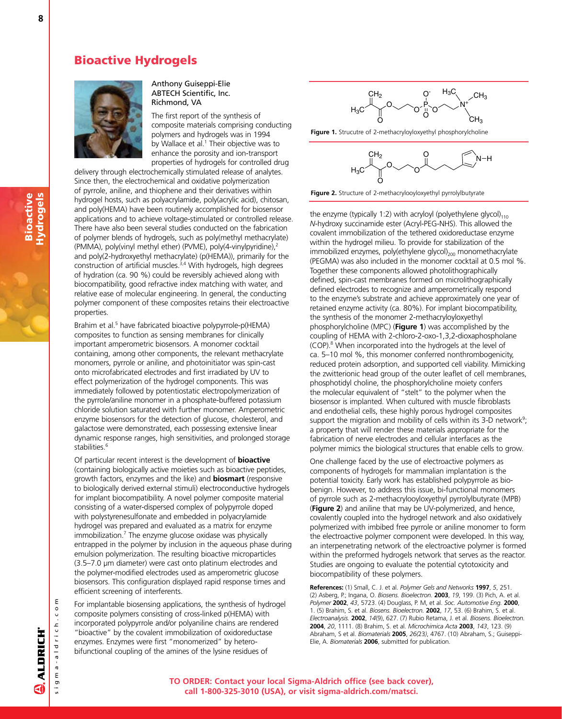## Bioactive Hydrogels



## Anthony Guiseppi-Elie ABTECH Scientific, Inc. Richmond, VA

The first report of the synthesis of composite materials comprising conducting polymers and hydrogels was in 1994 by Wallace et al.<sup>1</sup> Their objective was to enhance the porosity and ion-transport properties of hydrogels for controlled drug

delivery through electrochemically stimulated release of analytes. Since then, the electrochemical and oxidative polymerization of pyrrole, aniline, and thiophene and their derivatives within hydrogel hosts, such as polyacrylamide, poly(acrylic acid), chitosan, and poly(HEMA) have been routinely accomplished for biosensor applications and to achieve voltage-stimulated or controlled release. There have also been several studies conducted on the fabrication of polymer blends of hydrogels, such as poly(methyl methacrylate) (PMMA), poly(vinyl methyl ether) (PVME), poly(4-vinylpyridine),<sup>2</sup> and poly(2-hydroxyethyl methacrylate) (p(HEMA)), primarily for the construction of artificial muscles.<sup>3,4</sup> With hydrogels, high degrees of hydration (ca. 90 %) could be reversibly achieved along with biocompatibility, good refractive index matching with water, and relative ease of molecular engineering. In general, the conducting polymer component of these composites retains their electroactive properties.

Brahim et al.<sup>5</sup> have fabricated bioactive polypyrrole-p(HEMA) composites to function as sensing membranes for clinically important amperometric biosensors. A monomer cocktail containing, among other components, the relevant methacrylate monomers, pyrrole or aniline, and photoinitiator was spin-cast onto microfabricated electrodes and first irradiated by UV to effect polymerization of the hydrogel components. This was immediately followed by potentiostatic electropolymerization of the pyrrole/aniline monomer in a phosphate-buffered potassium chloride solution saturated with further monomer. Amperometric enzyme biosensors for the detection of glucose, cholesterol, and galactose were demonstrated, each possessing extensive linear dynamic response ranges, high sensitivities, and prolonged storage stabilities.<sup>6</sup>

Of particular recent interest is the development of **bioactive** (containing biologically active moieties such as bioactive peptides, growth factors, enzymes and the like) and **biosmart** (responsive to biologically derived external stimuli) electroconductive hydrogels for implant biocompatibility. A novel polymer composite material consisting of a water-dispersed complex of polypyrrole doped with polystyrenesulfonate and embedded in polyacrylamide hydrogel was prepared and evaluated as a matrix for enzyme immobilization.<sup>7</sup> The enzyme glucose oxidase was physically entrapped in the polymer by inclusion in the aqueous phase during emulsion polymerization. The resulting bioactive microparticles (3.5–7.0 µm diameter) were cast onto platinum electrodes and the polymer-modified electrodes used as amperometric glucose biosensors. This configuration displayed rapid response times and efficient screening of interferents.

For implantable biosensing applications, the synthesis of hydrogel composite polymers consisting of cross-linked p(HEMA) with incorporated polypyrrole and/or polyaniline chains are rendered "bioactive" by the covalent immobilization of oxidoreductase enzymes. Enzymes were first "monomerized" by heterobifunctional coupling of the amines of the lysine residues of



**Figure 1.** Strucutre of 2-methacryloyloxyethyl phosphorylcholine



**Figure 2.** Structure of 2-methacrylooyloxyethyl pyrrolylbutyrate

the enzyme (typically 1:2) with acryloyl (polyethylene glycol) $_{110}$ *N*-hydroxy succinamide ester (Acryl-PEG-NHS). This allowed the covalent immobilization of the tethered oxidoreductase enzyme within the hydrogel milieu. To provide for stabilization of the immobilized enzymes, poly(ethylene glycol) $_{200}$  monomethacrylate (PEGMA) was also included in the monomer cocktail at 0.5 mol %. Together these components allowed photolithographically defined, spin-cast membranes formed on microlithographically defined electrodes to recognize and amperometrically respond to the enzyme's substrate and achieve approximately one year of retained enzyme activity (ca. 80%). For implant biocompatibility, the synthesis of the monomer 2-methacryloyloxyethyl phosphorylcholine (MPC) (**Figure 1**) was accomplished by the coupling of HEMA with 2-chloro-2-oxo-1,3,2-dioxaphospholane (COP).<sup>8</sup> When incorporated into the hydrogels at the level of ca. 5–10 mol %, this monomer conferred nonthrombogenicity, reduced protein adsorption, and supported cell viability. Mimicking the zwitterionic head group of the outer leaflet of cell membranes, phosphotidyl choline, the phosphorylcholine moiety confers the molecular equivalent of "stelt" to the polymer when the biosensor is implanted. When cultured with muscle fibroblasts and endothelial cells, these highly porous hydrogel composites support the migration and mobility of cells within its  $3$ -D network<sup>9</sup>; a property that will render these materials appropriate for the fabrication of nerve electrodes and cellular interfaces as the polymer mimics the biological structures that enable cells to grow.

One challenge faced by the use of electroactive polymers as components of hydrogels for mammalian implantation is the potential toxicity. Early work has established polypyrrole as biobenign. However, to address this issue, bi-functional monomers of pyrrole such as 2-methacrylooyloxyethyl pyrrolylbutyrate (MPB) (**Figure 2**) and aniline that may be UV-polymerized, and hence, covalently coupled into the hydrogel network and also oxidatively polymerized with imbibed free pyrrole or aniline monomer to form the electroactive polymer component were developed. In this way, an interpenetrating network of the electroactive polymer is formed within the preformed hydrogels network that serves as the reactor. Studies are ongoing to evaluate the potential cytotoxicity and biocompatibility of these polymers.

**References:** (1) Small, C. J. et al. *Polymer Gels and Networks* **1997**, *5*, 251. (2) Asberg, P.; Ingana, O. *Biosens. Bioelectron.* **2003**, *19*, 199. (3) Pich, A. et al. *Polymer* **2002**, *43*, 5723. (4) Douglass, P. M, et al. *Soc. Automotive Eng.* **2000**, 1. (5) Brahim, S. et al. *Biosens. Bioelectron.* **2002**, *17*, 53. (6) Brahim, S. et al. *Electroanalysis.* **2002**, *14*(9), 627. (7) Rubio Retama, J. et al. *Biosens. Bioelectron.* **2004**, *20*, 1111. (8) Brahim, S. et al. *Microchimica Acta* **2003**, *143*, 123. (9) Abraham, S et al. *Biomaterials* **2005**, *26(*23*)*, 4767. (10) Abraham, S.; Guiseppi-Elie, A. *Biomaterials* **2006**, submitted for publication.

**ALDRICH** GÌ

s i g m a - a l d r i c h . c o m

sigma-aldrich.co

ε

8

Bioactive Hydrogels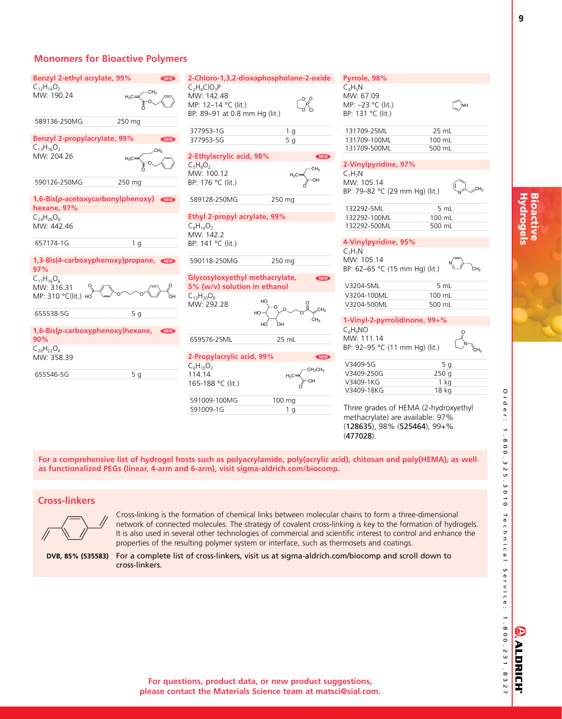| Benzyl 2-ethyl acrylate, 99%             | <b>NEW</b>     |                                                                                      | 2-Chloro-1,3,2-dioxaphospholane-2-oxide | Pyrrole, 98%                                                                           |                         |
|------------------------------------------|----------------|--------------------------------------------------------------------------------------|-----------------------------------------|----------------------------------------------------------------------------------------|-------------------------|
| $C_{12}H_{14}O_2$<br>MW: 190.24          |                | $C_2H_4ClO_3P$<br>MW: 142.48<br>MP: 12-14 °C (lit.)<br>BP: 89-91 at 0.8 mm Hg (lit.) | o o<br>o ci                             | $C_A H_R N$<br>MW: 67.09<br>MP: -23 °C (lit.)<br>BP: 131 °C (lit.)                     | <b>NH</b>               |
| 589136-250MG                             | 250 mg         |                                                                                      |                                         |                                                                                        | 25 mL                   |
| <b>Benzyl 2-propylacrylate, 99%</b>      | <b>NEW</b>     | 377953-1G<br>377953-5G                                                               | 1 <sub>q</sub><br>5q                    | 131709-25ML<br>131709-100ML                                                            | 100 mL                  |
| $C_{13}H_{16}O_2$                        |                |                                                                                      |                                         | 131709-500ML                                                                           | 500 mL                  |
| MW: 204.26                               | $H_2C$         | 2-Ethylacrylic acid, 98%<br>$C_5H_8O_2$<br>MW: 100.12                                | <b>NEW</b>                              | 2-Vinylpyridine, 97%<br>$C_7H_7N$                                                      |                         |
| 590126-250MG                             | 250 mg         | BP: 176 °C (lit.)                                                                    |                                         | MW: 105.14<br>BP: 79-82 °C (29 mm Hg) (lit.)                                           |                         |
| 1,6-Bis(p-acetoxycarbonylphenoxy)        |                | 589128-250MG                                                                         | 250 mg                                  |                                                                                        |                         |
| hexane, 97%                              |                | Ethyl 2-propyl acrylate, 99%                                                         |                                         | 132292-5ML<br>132292-100ML                                                             | 5 mL<br>100 mL          |
| $C_{24}H_{26}O_8$<br>MW: 442.46          |                | $C_8H_{14}O_2$                                                                       |                                         | 132292-500ML                                                                           | 500 mL                  |
|                                          |                | MW: 142.2                                                                            |                                         |                                                                                        |                         |
| 657174-1G                                | 1 <sub>q</sub> | BP: 141 °C (lit.)                                                                    |                                         | 4-Vinylpyridine, 95%<br>$C_7H_7N$                                                      |                         |
| 1,3-Bis(4-carboxyphenoxy)propane,<br>97% |                | 590118-250MG                                                                         | 250 mg                                  | MW: 105.14<br>BP: 62-65 °C (15 mm Hg) (lit.)                                           | cн.                     |
| $C_{17}H_{16}O_6$                        |                | Glycosyloxyethyl methacrylate,<br>5% (w/v) solution in ethanol                       | <b>NEW</b>                              | V3204-5ML                                                                              | 5 mL                    |
| MW: 316.31<br>MP: 310 °С(lit.) но        |                | $C_{12}H_{20}O_8$                                                                    |                                         | V3204-100ML                                                                            | 100 mL                  |
|                                          |                | MW: 292.28                                                                           |                                         | V3204-500ML                                                                            | 500 mL                  |
| 655538-5G                                | 5 <sub>g</sub> |                                                                                      | HO                                      |                                                                                        |                         |
|                                          |                |                                                                                      | CH <sub>3</sub><br>HÓ<br>'nн            | 1-Vinyl-2-pyrrolidinone, 99+%                                                          |                         |
| 1,6-Bis(p-carboxyphenoxy)hexane,         | <b>NEW</b>     |                                                                                      |                                         | $C_6H_9NO$                                                                             |                         |
| 90%                                      |                | 659576-25ML                                                                          | 25 mL                                   | MW: 111.14                                                                             |                         |
| $C_{20}H_{22}O_6$                        |                |                                                                                      |                                         | BP: 92-95 °C (11 mm Hg) (lit.)                                                         | .<br>СН                 |
| MW: 358.39                               |                | 2-Propylacrylic acid, 99%                                                            | <b>NEW</b>                              |                                                                                        |                         |
|                                          |                | $C_6H_{10}O_2$                                                                       | CH <sub>2</sub> CH <sub>3</sub>         | V3409-5G                                                                               | 5q                      |
| 655546-5G                                | 5 <sub>g</sub> | 114.14                                                                               |                                         | V3409-250G<br>V3409-1KG                                                                | 250q<br>1 <sub>ka</sub> |
|                                          |                | 165-188 °C (lit.)                                                                    |                                         | V3409-18KG                                                                             | 18 kg                   |
|                                          |                | 591009-100MG                                                                         | 100 mg                                  |                                                                                        |                         |
|                                          |                | 591009-1G                                                                            | 1 <sub>q</sub>                          | Three grades of HEMA (2-hydroxyethyl                                                   |                         |
|                                          |                |                                                                                      |                                         | methacrylate) are available: 97%<br>$(128635)$ , 98% $(525464)$ , 99+%<br>$(477028)$ . |                         |

**For a comprehensive list of hydrogel hosts such as polyacrylamide, poly(acrylic acid), chitosan and poly(HEMA), as well as functionalized PEGs (linear, 4-arm and 6-arm), visit sigma-aldrich.com/biocomp.**

## **Cross-linkers**



Cross-linking is the formation of chemical links between molecular chains to form a three-dimensional network of connected molecules. The strategy of covalent cross-linking is key to the formation of hydrogels. It is also used in several other technologies of commercial and scientific interest to control and enhance the properties of the resulting polymer system or interface, such as thermosets and coatings.

**DVB, 85% (535583)**

For a complete list of cross-linkers, visit us at sigma-aldrich.com/biocomp and scroll down to cross-linkers.

E

**ALDRICH®** 

O<br>Q<br>Q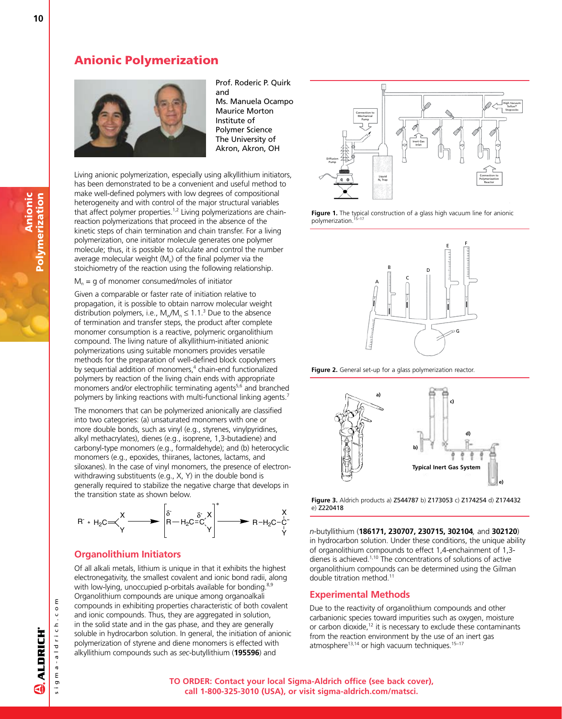## Anionic Polymerization



Prof. Roderic P. Quirk and Ms. Manuela Ocampo Maurice Morton Institute of Polymer Science The University of Akron, Akron, OH

Living anionic polymerization, especially using alkyllithium initiators, has been demonstrated to be a convenient and useful method to make well-defined polymers with low degrees of compositional heterogeneity and with control of the major structural variables that affect polymer properties.<sup>1,2</sup> Living polymerizations are chainreaction polymerizations that proceed in the absence of the kinetic steps of chain termination and chain transfer. For a living polymerization, one initiator molecule generates one polymer molecule; thus, it is possible to calculate and control the number average molecular weight  $(M<sub>n</sub>)$  of the final polymer via the stoichiometry of the reaction using the following relationship.

### $M<sub>n</sub>$  = g of monomer consumed/moles of initiator

Given a comparable or faster rate of initiation relative to propagation, it is possible to obtain narrow molecular weight distribution polymers, i.e.,  $M_{\text{w}}/M_{\text{n}} \leq 1.1$ .<sup>3</sup> Due to the absence of termination and transfer steps, the product after complete monomer consumption is a reactive, polymeric organolithium compound. The living nature of alkyllithium-initiated anionic polymerizations using suitable monomers provides versatile methods for the preparation of well-defined block copolymers by sequential addition of monomers,<sup>4</sup> chain-end functionalized polymers by reaction of the living chain ends with appropriate monomers and/or electrophilic terminating agents $5,6$  and branched polymers by linking reactions with multi-functional linking agents.<sup>7</sup>

The monomers that can be polymerized anionically are classified into two categories: (a) unsaturated monomers with one or more double bonds, such as vinyl (e.g., styrenes, vinylpyridines, alkyl methacrylates), dienes (e.g., isoprene, 1,3-butadiene) and carbonyl-type monomers (e.g., formaldehyde); and (b) heterocyclic monomers (e.g., epoxides, thiiranes, lactones, lactams, and siloxanes). In the case of vinyl monomers, the presence of electronwithdrawing substituents (e.g., X, Y) in the double bond is generally required to stabilize the negative charge that develops in the transition state as shown below.



## **Organolithium Initiators**

Of all alkali metals, lithium is unique in that it exhibits the highest electronegativity, the smallest covalent and ionic bond radii, along with low-lying, unoccupied p-orbitals available for bonding.<sup>8,9</sup> Organolithium compounds are unique among organoalkali compounds in exhibiting properties characteristic of both covalent and ionic compounds. Thus, they are aggregated in solution, in the solid state and in the gas phase, and they are generally soluble in hydrocarbon solution. In general, the initiation of anionic polymerization of styrene and diene monomers is effected with alkyllithium compounds such as *sec*-butyllithium (**195596**) and







**Figure 2.** General set-up for a glass polymerization reactor.



**Figure 3.** Aldrich products a) Z544787 b) Z173053 c) Z174254 d) Z174432 e) Z220418

*n*-butyllithium (**186171, 230707, 230715, 302104***,* and **302120**) in hydrocarbon solution. Under these conditions, the unique ability of organolithium compounds to effect 1,4-enchainment of 1,3 dienes is achieved.1,10 The concentrations of solutions of active organolithium compounds can be determined using the Gilman double titration method.11

## **Experimental Methods**

Due to the reactivity of organolithium compounds and other carbanionic species toward impurities such as oxygen, moisture or carbon dioxide, $12$  it is necessary to exclude these contaminants from the reaction environment by the use of an inert gas atmosphere<sup>13,14</sup> or high vacuum techniques.<sup>15-17</sup>

Anionic

Polymerization

Polymerization

s i g m a - a l d r i c h . c o m

sigma-aldrich.co

ε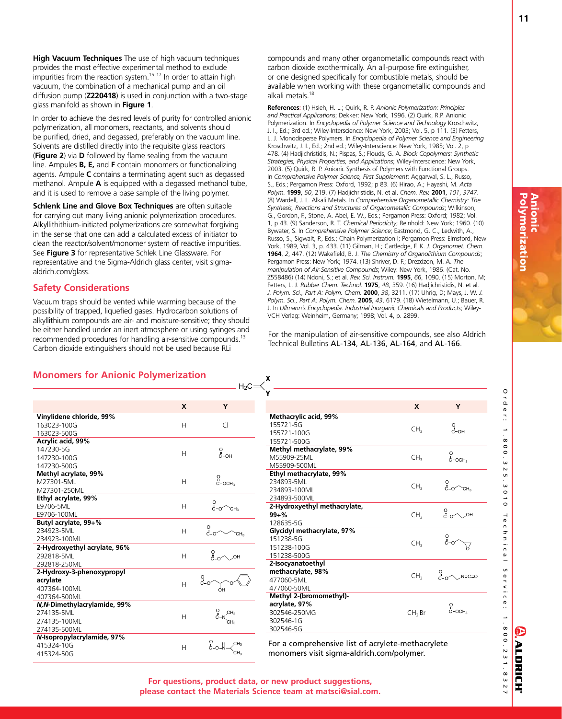O٦<br>م er.. 8 0 0 .<br>ധ  $\overline{v}$ ūп .<br>ധ  $\circ$ د<br>0

T e c h n i c a l

S e r v i c e :

**ALDRICH** 

**High Vacuum Techniques** The use of high vacuum techniques provides the most effective experimental method to exclude impurities from the reaction system.<sup>15-17</sup> In order to attain high vacuum, the combination of a mechanical pump and an oil diffusion pump (**Z220418**) is used in conjunction with a two-stage glass manifold as shown in **Figure 1**.

In order to achieve the desired levels of purity for controlled anionic polymerization, all monomers, reactants, and solvents should be purified, dried, and degassed, preferably on the vacuum line. Solvents are distilled directly into the requisite glass reactors (**Figure 2**) via **D** followed by flame sealing from the vacuum line. Ampules **B, E,** and **F** contain monomers or functionalizing agents. Ampule **C** contains a terminating agent such as degassed methanol. Ampule **A** is equipped with a degassed methanol tube, and it is used to remove a base sample of the living polymer.

**Schlenk Line and Glove Box Techniques** are often suitable for carrying out many living anionic polymerization procedures. Alkyllithithium-initiated polymerizations are somewhat forgiving in the sense that one can add a calculated excess of initiator to clean the reactor/solvent/monomer system of reactive impurities. See **Figure 3** for representative Schlek Line Glassware. For representative and the Sigma-Aldrich glass center, visit sigmaaldrich.com/glass.

## **Safety Considerations**

Vacuum traps should be vented while warming because of the possibility of trapped, liquefied gases. Hydrocarbon solutions of alkyllithium compounds are air- and moisture-sensitive; they should be either handled under an inert atmosphere or using syringes and recommended procedures for handling air-sensitive compounds.13 Carbon dioxide extinguishers should not be used because RLi

compounds and many other organometallic compounds react with carbon dioxide exothermically. An all-purpose fire extinguisher, or one designed specifically for combustible metals, should be available when working with these organometallic compounds and alkali metals.18

**References:** (1) Hsieh, H. L.; Quirk, R. P. *Anionic Polymerization: Principles and Practical Applications*; Dekker: New York, 1996. (2) Quirk, R.P. Anionic Polymerization. In *Encyclopedia of Polymer Science and Technology* Kroschwitz, J. I., Ed.; 3rd ed.; Wiley-Interscience: New York, 2003; Vol. 5, p 111. (3) Fetters, L. J. Monodisperse Polymers. In *Encyclopedia of Polymer Science and Engineering* Kroschwitz, J. I., Ed.; 2nd ed.; Wiley-Interscience: New York, 1985; Vol. 2, p 478. (4) Hadjichristidis, N.; Pispas, S.; Flouds, G. A. *Block Copolymers: Synthetic Strategies, Physical Properties, and Applications*; Wiley-Interscience: New York, 2003. (5) Quirk, R. P. Anionic Synthesis of Polymers with Functional Groups. In *Comprehensive Polymer Science, First Supplement*; Aggarwal, S. L., Russo, S., Eds.; Pergamon Press: Oxford, 1992; p 83. (6) Hirao, A.; Hayashi, M. *Acta Polym.* **1999**, *50*, 219. (7) Hadjichristidis, N. et al. *Chem. Rev.* **2001**, *101*, *3747*. (8) Wardell, J. L. Alkali Metals. In *Comprehensive Organometallic Chemistry: The Synthesis, Reactions and Structures of Organometallic Compounds*; Wilkinson, G., Gordon, F., Stone, A. Abel, E. W., Eds.; Pergamon Press: Oxford; 1982; Vol. 1, p 43. (9) Sanderson, R. T. *Chemical Periodicity*; Reinhold: New York; 1960. (10) Bywater, S. In *Comprehensive Polymer Science*; Eastmond, G. C., Ledwith, A., Russo, S., Sigwalt, P., Eds.; Chain Polymerization I; Pergamon Press: Elmsford, New York, 1989, Vol. 3, p. 433. (11) Gilman, H.; Cartledge, F. K. *J. Organomet. Chem.* **1964**, *2*, 447. (12) Wakefield, B. J. *The Chemistry of Organolithium Compounds*; Pergamon Press: New York; 1974. (13) Shriver, D. F.; Drezdzon, M. A. *The manipulation of Air-Sensitive Compounds*; Wiley: New York, 1986. (Cat. No. Z558486) (14) Ndoni, S.; et al. *Rev. Sci. Instrum.* **1995**, *66*, 1090. (15) Morton, M; Fetters, L. J. *Rubber Chem. Technol.* **1975**, *48*, 359. (16) Hadjichristidis, N. et al. *J. Polym. Sci., Part A: Polym. Chem.* **2000**, *38*, 3211. (17) Uhrig, D; Mays, J. W. *J. Polym. Sci., Part A: Polym. Chem.* **2005**, *43*, 6179. (18) Wietelmann, U.; Bauer, R. J. In *Ullmann's Encyclopedia. Industrial Inorganic Chemicals and Products*; Wiley-VCH Verlag: Weinheim, Germany; 1998; Vol. 4, p. 2899.

For the manipulation of air-sensitive compounds, see also Aldrich Technical Bulletins AL-134, AL-136, AL-164, and AL-166.

## **Monomers for Anionic Polymerization**

|                              |   | $H_2C$                           |
|------------------------------|---|----------------------------------|
|                              | X | Υ                                |
| Vinylidene chloride, 99%     |   |                                  |
| 163023-100G                  | H | CI.                              |
| 163023-500G                  |   |                                  |
| Acrylic acid, 99%            |   |                                  |
| 147230-5G                    | Н | $\int_{0}^{0}$ -OH               |
| 147230-100G                  |   |                                  |
| 147230-500G                  |   |                                  |
| Methyl acrylate, 99%         |   |                                  |
| M27301-5ML                   | H | о<br>С-осн <sub>з</sub>          |
| M27301-250ML                 |   |                                  |
| Ethyl acrylate, 99%          |   |                                  |
| E9706-5ML                    | H | $\frac{0}{0}$<br>CH <sub>3</sub> |
| E9706-100ML                  |   |                                  |
| Butyl acrylate, 99+%         |   |                                  |
| 234923-5ML                   | H | $0 - 0$<br>CH <sub>3</sub>       |
| 234923-100ML                 |   |                                  |
| 2-Hydroxyethyl acrylate, 96% |   |                                  |
| 292818-5MI                   | Н | $0 - 0$<br>OH                    |
| 292818-250ML                 |   |                                  |
| 2-Hydroxy-3-phenoxypropyl    |   |                                  |
| acrylate                     | H | о<br>c-o                         |
| 407364-100ML                 |   | OH                               |
| 407364-500ML                 |   |                                  |
| N, N-Dimethylacrylamide, 99% |   |                                  |
| 274135-5ML                   | H | $C-N$ <sub>CH<sub>3</sub></sub>  |
| 274135-100ML                 |   |                                  |
| 274135-500ML                 |   |                                  |
| N-Isopropylacrylamide, 97%   |   | о<br>c-o<br>CH <sub>3</sub>      |
| 415324-10G                   | H | κΗ,                              |
| 415324-50G                   |   |                                  |

| Υ                                                                                  |                    |                                          |
|------------------------------------------------------------------------------------|--------------------|------------------------------------------|
|                                                                                    | X                  | Υ                                        |
| Methacrylic acid, 99%<br>155721-5G<br>155721-100G<br>155721-500G                   | CH <sub>3</sub>    | $C - OH$                                 |
| Methyl methacrylate, 99%<br>M55909-25ML<br>M55909-500ML                            | CH <sub>3</sub>    | о<br>С-осн <sub>з</sub>                  |
| Ethyl methacrylate, 99%<br>234893-5ML<br>234893-100ML<br>234893-500ML              | CH <sub>3</sub>    | $0$<br>$C = 0$ $C$ H <sub>3</sub>        |
| 2-Hydroxyethyl methacrylate,<br>$99 + \%$<br>128635-5G                             | CH <sub>3</sub>    | $^{0}_{0-0}$<br>OH                       |
| Glycidyl methacrylate, 97%<br>151238-5G<br>151238-100G<br>151238-500G              | CH <sub>3</sub>    | $\frac{0}{c}$ -o $\widehat{\phantom{a}}$ |
| 2-Isocyanatoethyl<br>methacrylate, 98%<br>477060-5ML<br>477060-50ML                | CH <sub>3</sub>    | $0$<br>$0 - 0$ $N = C = 0$               |
| Methyl 2-(bromomethyl)-<br>acrylate, 97%<br>302546-250MG<br>302546-1G<br>302546-5G | CH <sub>2</sub> Br | о<br>c-осн <sub>з</sub>                  |

For a comprehensive list of acrylete-methacrylete monomers visit sigma-aldrich.com/polymer.

**For questions, product data, or new product suggestions, please contact the Materials Science team at matsci@sial.com.**

**X**